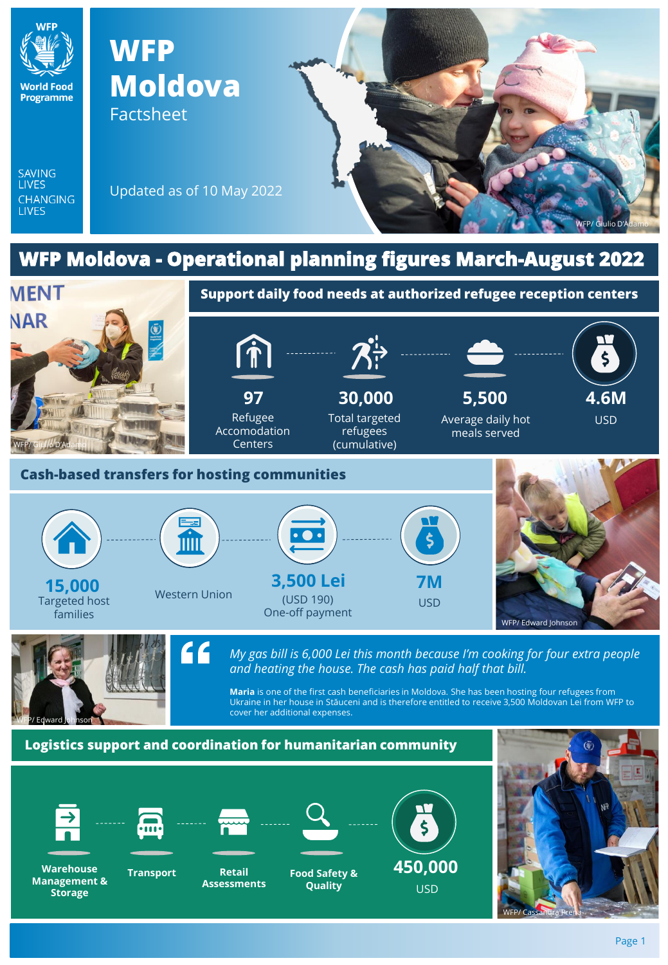

**450,000** USD

**Food Safety & Quality**

**Retail Assessments**

**Warehouse Transport**

**Management & Storage**

WFP/ Cassandra Prena